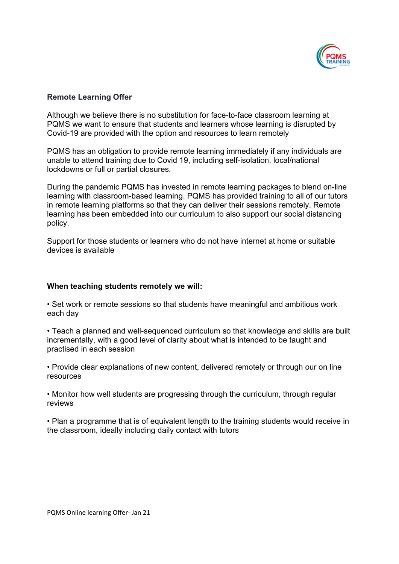

## Remote Learning Offer

Although we believe there is no substitution for face-to-face classroom learning at PQMS we want to ensure that students and learners whose learning is disrupted by Covid-19 are provided with the option and resources to learn remotely

PQMS has an obligation to provide remote learning immediately if any individuals are unable to attend training due to Covid 19, including self-isolation, local/national lockdowns or full or partial closures.

During the pandemic PQMS has invested in remote learning packages to blend on-line learning with classroom-based learning. PQMS has provided training to all of our tutors in remote learning platforms so that they can deliver their sessions remotely. Remote learning has been embedded into our curriculum to also support our social distancing policy.

Support for those students or learners who do not have internet at home or suitable devices is available

## When teaching students remotely we will:

• Set work or remote sessions so that students have meaningful and ambitious work each day

• Teach a planned and well-sequenced curriculum so that knowledge and skills are built incrementally, with a good level of clarity about what is intended to be taught and practised in each session

• Provide clear explanations of new content, delivered remotely or through our on line resources

• Monitor how well students are progressing through the curriculum, through regular reviews

• Plan a programme that is of equivalent length to the training students would receive in the classroom, ideally including daily contact with tutors